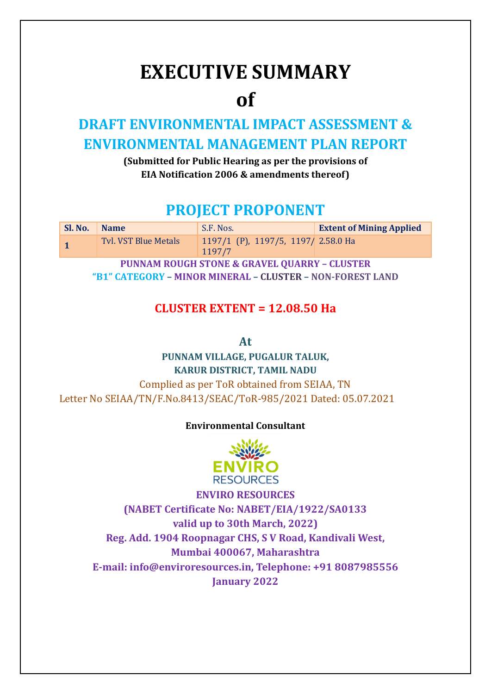# **EXECUTIVE SUMMARY**

# **of**

## **DRAFT ENVIRONMENTAL IMPACT ASSESSMENT & ENVIRONMENTAL MANAGEMENT PLAN REPORT**

**(Submitted for Public Hearing as per the provisions of EIA Notification 2006 & amendments thereof)**

## **PROJECT PROPONENT**

| Sl. No. | <b>Name</b>          | S.F. Nos.                                     | <b>Extent of Mining Applied</b> |  |
|---------|----------------------|-----------------------------------------------|---------------------------------|--|
|         | Tyl. VST Blue Metals | 1197/1 (P), 1197/5, 1197/ 2.58.0 Ha<br>1197/7 |                                 |  |
|         |                      |                                               |                                 |  |

**PUNNAM ROUGH STONE & GRAVEL QUARRY – CLUSTER "B1" CATEGORY – MINOR MINERAL – CLUSTER – NON-FOREST LAND** 

### **CLUSTER EXTENT = 12.08.50 Ha**

**At** 

**PUNNAM VILLAGE, PUGALUR TALUK, KARUR DISTRICT, TAMIL NADU**  Complied as per ToR obtained from SEIAA, TN Letter No SEIAA/TN/F.No.8413/SEAC/ToR-985/2021 Dated: 05.07.2021

### **Environmental Consultant**



**ENVIRO RESOURCES (NABET Certificate No: NABET/EIA/1922/SA0133 valid up to 30th March, 2022) Reg. Add. 1904 Roopnagar CHS, S V Road, Kandivali West, Mumbai 400067, Maharashtra E-mail: info@enviroresources.in, Telephone: +91 8087985556 January 2022**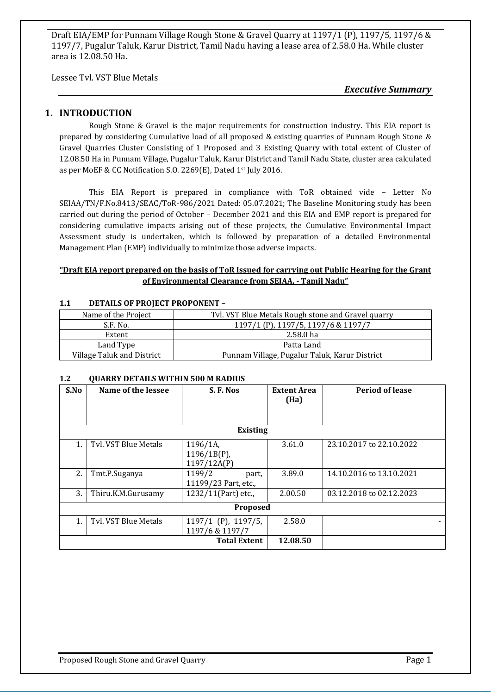Lessee Tvl. VST Blue Metals

*Executive Summary*

#### **1. INTRODUCTION**

Rough Stone & Gravel is the major requirements for construction industry. This EIA report is prepared by considering Cumulative load of all proposed & existing quarries of Punnam Rough Stone & Gravel Quarries Cluster Consisting of 1 Proposed and 3 Existing Quarry with total extent of Cluster of 12.08.50 Ha in Punnam Village, Pugalur Taluk, Karur District and Tamil Nadu State, cluster area calculated as per MoEF & CC Notification S.O. 2269(E), Dated 1st July 2016.

This EIA Report is prepared in compliance with ToR obtained vide – Letter No SEIAA/TN/F.No.8413/SEAC/ToR-986/2021 Dated: 05.07.2021; The Baseline Monitoring study has been carried out during the period of October – December 2021 and this EIA and EMP report is prepared for considering cumulative impacts arising out of these projects, the Cumulative Environmental Impact Assessment study is undertaken, which is followed by preparation of a detailed Environmental Management Plan (EMP) individually to minimize those adverse impacts.

#### **"Draft EIA report prepared on the basis of ToR Issued for carrying out Public Hearing for the Grant of Environmental Clearance from SEIAA, - Tamil Nadu"**

| Name of the Project        | Tvl. VST Blue Metals Rough stone and Gravel quarry |
|----------------------------|----------------------------------------------------|
| S.F. No.                   | 1197/1 (P), 1197/5, 1197/6 & 1197/7                |
| Extent                     | 2.58.0 ha                                          |
| Land Type                  | Patta Land                                         |
| Village Taluk and District | Punnam Village, Pugalur Taluk, Karur District      |

#### **1.1 DETAILS OF PROJECT PROPONENT –**

#### **1.2 QUARRY DETAILS WITHIN 500 M RADIUS**

| S.No           | Name of the lessee              | S.F.Nos                                     | <b>Extent Area</b><br>(Ha) | <b>Period of lease</b>   |  |  |
|----------------|---------------------------------|---------------------------------------------|----------------------------|--------------------------|--|--|
|                |                                 | <b>Existing</b>                             |                            |                          |  |  |
| 1.             | Tyl. VST Blue Metals            | 1196/1A,<br>$1196/1B(P)$ ,<br>1197/12A(P)   | 3.61.0                     | 23.10.2017 to 22.10.2022 |  |  |
| 2.             | Tmt.P.Suganya                   | 1199/2<br>part,<br>11199/23 Part, etc.,     | 3.89.0                     | 14.10.2016 to 13.10.2021 |  |  |
| 3.             | Thiru.K.M.Gurusamy              | 1232/11(Part) etc.,                         | 2.00.50                    | 03.12.2018 to 02.12.2023 |  |  |
| Proposed       |                                 |                                             |                            |                          |  |  |
| $\mathbf{1}$ . | Tyl. VST Blue Metals            | $1197/1$ (P), $1197/5$ ,<br>1197/6 & 1197/7 | 2.58.0                     |                          |  |  |
|                | 12.08.50<br><b>Total Extent</b> |                                             |                            |                          |  |  |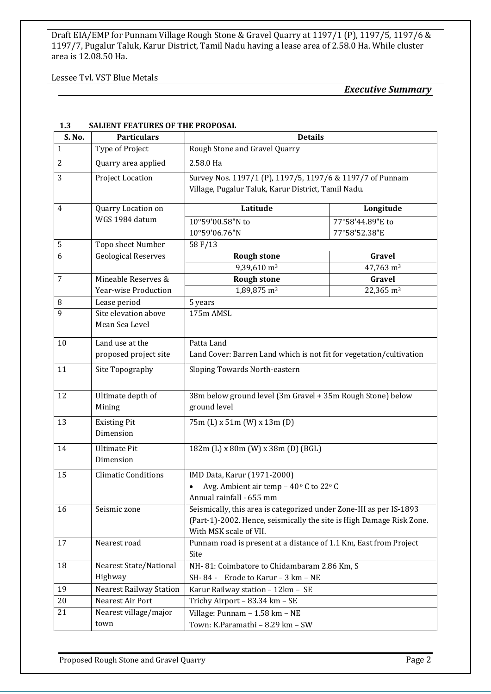Lessee Tvl. VST Blue Metals

*Executive Summary*

| S. No.         | <b>Particulars</b>                       | <b>Details</b>                                                                                                                                                        |                                   |  |
|----------------|------------------------------------------|-----------------------------------------------------------------------------------------------------------------------------------------------------------------------|-----------------------------------|--|
| $\mathbf{1}$   | Type of Project                          | Rough Stone and Gravel Quarry                                                                                                                                         |                                   |  |
| $\overline{2}$ | Quarry area applied                      | 2.58.0 Ha                                                                                                                                                             |                                   |  |
| 3              | Project Location                         | Survey Nos. 1197/1 (P), 1197/5, 1197/6 & 1197/7 of Punnam<br>Village, Pugalur Taluk, Karur District, Tamil Nadu.                                                      |                                   |  |
| $\overline{4}$ | Quarry Location on                       | Latitude                                                                                                                                                              | Longitude                         |  |
|                | WGS 1984 datum                           | 10°59'00.58"N to<br>10°59'06.76"N                                                                                                                                     | 77°58'44.89"E to<br>77°58'52.38"E |  |
| 5              | Topo sheet Number                        | 58 F/13                                                                                                                                                               |                                   |  |
| 6              | <b>Geological Reserves</b>               | <b>Rough stone</b>                                                                                                                                                    | Gravel                            |  |
|                |                                          | 9,39,610 m <sup>3</sup>                                                                                                                                               | 47,763 m <sup>3</sup>             |  |
| $\overline{7}$ | Mineable Reserves &                      | <b>Rough stone</b>                                                                                                                                                    | Gravel                            |  |
|                | <b>Year-wise Production</b>              | 1,89,875 m <sup>3</sup>                                                                                                                                               | 22,365 m <sup>3</sup>             |  |
| 8              | Lease period                             | 5 years                                                                                                                                                               |                                   |  |
| 9              | Site elevation above<br>Mean Sea Level   | 175m AMSL                                                                                                                                                             |                                   |  |
| 10             | Land use at the<br>proposed project site | Patta Land<br>Land Cover: Barren Land which is not fit for vegetation/cultivation                                                                                     |                                   |  |
| 11             | Site Topography                          | Sloping Towards North-eastern                                                                                                                                         |                                   |  |
| 12             | Ultimate depth of<br>Mining              | 38m below ground level (3m Gravel + 35m Rough Stone) below<br>ground level                                                                                            |                                   |  |
| 13             | <b>Existing Pit</b><br>Dimension         | 75m (L) x 51m (W) x 13m (D)                                                                                                                                           |                                   |  |
| 14             | <b>Ultimate Pit</b><br>Dimension         | 182m (L) x 80m (W) x 38m (D) (BGL)                                                                                                                                    |                                   |  |
| 15             | <b>Climatic Conditions</b>               | IMD Data, Karur (1971-2000)<br>Avg. Ambient air temp - 40°C to 22°C<br>Annual rainfall - 655 mm                                                                       |                                   |  |
| 16             | Seismic zone                             | Seismically, this area is categorized under Zone-III as per IS-1893<br>(Part-1)-2002. Hence, seismically the site is High Damage Risk Zone.<br>With MSK scale of VII. |                                   |  |
| 17             | Nearest road                             | Punnam road is present at a distance of 1.1 Km, East from Project<br>Site                                                                                             |                                   |  |
| 18             | Nearest State/National<br>Highway        | NH-81: Coimbatore to Chidambaram 2.86 Km, S<br>SH-84 - Erode to Karur - 3 km - NE                                                                                     |                                   |  |
| 19             | <b>Nearest Railway Station</b>           | Karur Railway station - 12km - SE                                                                                                                                     |                                   |  |
| 20             | Nearest Air Port                         | Trichy Airport - 83.34 km - SE                                                                                                                                        |                                   |  |
| 21             | Nearest village/major                    | Village: Punnam - 1.58 km - NE                                                                                                                                        |                                   |  |
|                | town                                     | Town: K.Paramathi - 8.29 km - SW                                                                                                                                      |                                   |  |

#### **1.3 SALIENT FEATURES OF THE PROPOSAL**

Proposed Rough Stone and Gravel Quarry **Page 2** Proposed Rough Stone and Gravel Quarry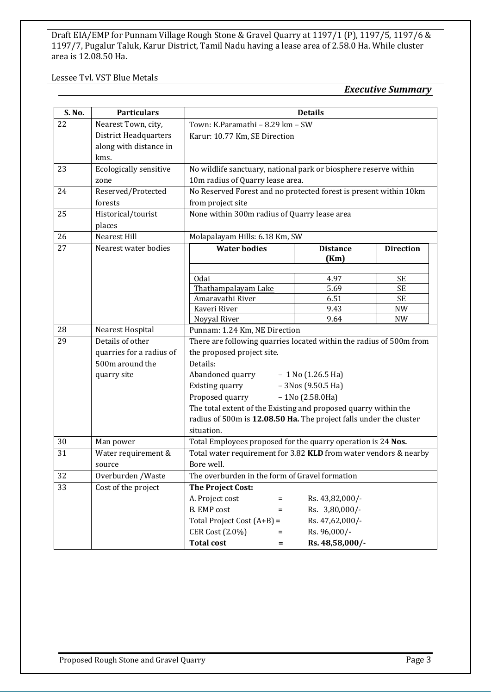#### Lessee Tvl. VST Blue Metals

#### *Executive Summary*

| S. No. | <b>Particulars</b>            | <b>Details</b>                                                      |                                                                  |                 |                        |
|--------|-------------------------------|---------------------------------------------------------------------|------------------------------------------------------------------|-----------------|------------------------|
| 22     | Nearest Town, city,           | Town: K.Paramathi - 8.29 km - SW                                    |                                                                  |                 |                        |
|        | <b>District Headquarters</b>  | Karur: 10.77 Km, SE Direction                                       |                                                                  |                 |                        |
|        | along with distance in        |                                                                     |                                                                  |                 |                        |
|        | kms.                          |                                                                     |                                                                  |                 |                        |
| 23     | <b>Ecologically sensitive</b> |                                                                     | No wildlife sanctuary, national park or biosphere reserve within |                 |                        |
|        | zone                          | 10m radius of Quarry lease area.                                    |                                                                  |                 |                        |
| 24     | Reserved/Protected            | No Reserved Forest and no protected forest is present within 10km   |                                                                  |                 |                        |
|        | forests                       | from project site                                                   |                                                                  |                 |                        |
| 25     | Historical/tourist            | None within 300m radius of Quarry lease area                        |                                                                  |                 |                        |
|        | places                        |                                                                     |                                                                  |                 |                        |
| 26     | <b>Nearest Hill</b>           | Molapalayam Hills: 6.18 Km, SW                                      |                                                                  |                 |                        |
| 27     | Nearest water bodies          | <b>Water bodies</b>                                                 |                                                                  | <b>Distance</b> | <b>Direction</b>       |
|        |                               |                                                                     |                                                                  | (Km)            |                        |
|        |                               |                                                                     |                                                                  |                 |                        |
|        |                               | Odai<br>Thathampalayam Lake                                         |                                                                  | 4.97<br>5.69    | <b>SE</b><br><b>SE</b> |
|        |                               | Amaravathi River                                                    |                                                                  | 6.51            | <b>SE</b>              |
|        |                               | Kaveri River                                                        |                                                                  | 9.43            | <b>NW</b>              |
|        |                               | Noyyal River                                                        |                                                                  | 9.64            | <b>NW</b>              |
| 28     | Nearest Hospital              | Punnam: 1.24 Km, NE Direction                                       |                                                                  |                 |                        |
| 29     | Details of other              | There are following quarries located within the radius of 500m from |                                                                  |                 |                        |
|        | quarries for a radius of      | the proposed project site.                                          |                                                                  |                 |                        |
|        | 500m around the               | Details:                                                            |                                                                  |                 |                        |
|        | quarry site                   | Abandoned quarry                                                    | $-1$ No (1.26.5 Ha)                                              |                 |                        |
|        |                               | $-3Nos(9.50.5 Ha)$<br>Existing quarry                               |                                                                  |                 |                        |
|        |                               | Proposed quarry                                                     | $-1$ No (2.58.0Ha)                                               |                 |                        |
|        |                               | The total extent of the Existing and proposed quarry within the     |                                                                  |                 |                        |
|        |                               | radius of 500m is 12.08.50 Ha. The project falls under the cluster  |                                                                  |                 |                        |
|        |                               | situation.                                                          |                                                                  |                 |                        |
| 30     | Man power                     | Total Employees proposed for the quarry operation is 24 Nos.        |                                                                  |                 |                        |
| 31     | Water requirement &           | Total water requirement for 3.82 KLD from water vendors & nearby    |                                                                  |                 |                        |
|        | source                        | Bore well.                                                          |                                                                  |                 |                        |
| 32     | Overburden / Waste            | The overburden in the form of Gravel formation                      |                                                                  |                 |                        |
| 33     | Cost of the project           | <b>The Project Cost:</b>                                            |                                                                  |                 |                        |
|        |                               | A. Project cost                                                     | $=$                                                              | Rs. 43,82,000/- |                        |
|        |                               | <b>B.</b> EMP cost                                                  | $=$                                                              | Rs. 3,80,000/-  |                        |
|        |                               | Total Project Cost $(A+B)$ =                                        |                                                                  | Rs. 47,62,000/- |                        |
|        |                               | CER Cost (2.0%)                                                     | $=$                                                              | Rs. 96,000/-    |                        |
|        |                               | <b>Total cost</b>                                                   | $=$                                                              | Rs. 48,58,000/- |                        |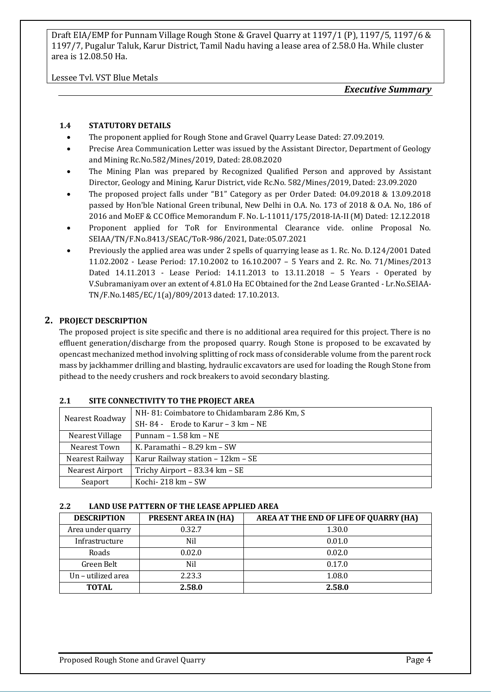Lessee Tvl. VST Blue Metals

*Executive Summary*

#### **1.4 STATUTORY DETAILS**

- The proponent applied for Rough Stone and Gravel Quarry Lease Dated: 27.09.2019.
- Precise Area Communication Letter was issued by the Assistant Director, Department of Geology and Mining Rc.No.582/Mines/2019, Dated: 28.08.2020
- The Mining Plan was prepared by Recognized Qualified Person and approved by Assistant Director, Geology and Mining, Karur District, vide Rc.No. 582/Mines/2019, Dated: 23.09.2020
- The proposed project falls under "B1" Category as per Order Dated: 04.09.2018 & 13.09.2018 passed by Hon'ble National Green tribunal, New Delhi in O.A. No. 173 of 2018 & O.A. No, 186 of 2016 and MoEF & CC Office Memorandum F. No. L-11011/175/2018-IA-II (M) Dated: 12.12.2018
- Proponent applied for ToR for Environmental Clearance vide. online Proposal No. SEIAA/TN/F.No.8413/SEAC/ToR-986/2021, Date:05.07.2021
- Previously the applied area was under 2 spells of quarrying lease as 1. Rc. No. D.124/2001 Dated 11.02.2002 - Lease Period: 17.10.2002 to 16.10.2007 – 5 Years and 2. Rc. No. 71/Mines/2013 Dated 14.11.2013 - Lease Period: 14.11.2013 to 13.11.2018 – 5 Years - Operated by V.Subramaniyam over an extent of 4.81.0 Ha EC Obtained for the 2nd Lease Granted - Lr.No.SEIAA-TN/F.No.1485/EC/1(a)/809/2013 dated: 17.10.2013.

#### **2. PROJECT DESCRIPTION**

The proposed project is site specific and there is no additional area required for this project. There is no effluent generation/discharge from the proposed quarry. Rough Stone is proposed to be excavated by opencast mechanized method involving splitting of rock mass of considerable volume from the parent rock mass by jackhammer drilling and blasting, hydraulic excavators are used for loading the Rough Stone from pithead to the needy crushers and rock breakers to avoid secondary blasting.

#### **2.1 SITE CONNECTIVITY TO THE PROJECT AREA**

|                                                      | NH-81: Coimbatore to Chidambaram 2.86 Km, S |  |
|------------------------------------------------------|---------------------------------------------|--|
| Nearest Roadway                                      | $SH-84$ - Erode to Karur – 3 km – NE        |  |
| Nearest Village                                      | Punnam - 1.58 km - NE                       |  |
| Nearest Town                                         | K. Paramathi – $8.29 \text{ km}$ – SW       |  |
| Nearest Railway<br>Karur Railway station - 12km - SE |                                             |  |
| Nearest Airport                                      | Trichy Airport - 83.34 km - SE              |  |
| Seaport                                              | Kochi- $218 \text{ km} - \text{SW}$         |  |

#### **2.2 LAND USE PATTERN OF THE LEASE APPLIED AREA**

| <b>DESCRIPTION</b> | <b>PRESENT AREA IN (HA)</b> | AREA AT THE END OF LIFE OF QUARRY (HA) |
|--------------------|-----------------------------|----------------------------------------|
| Area under quarry  | 0.32.7                      | 1.30.0                                 |
| Infrastructure     | Nil                         | 0.01.0                                 |
| Roads              | 0.02.0                      | 0.02.0                                 |
| Green Belt         | Nil                         | 0.17.0                                 |
| Un - utilized area | 2.23.3                      | 1.08.0                                 |
| TOTAL              | 2.58.0                      | 2.58.0                                 |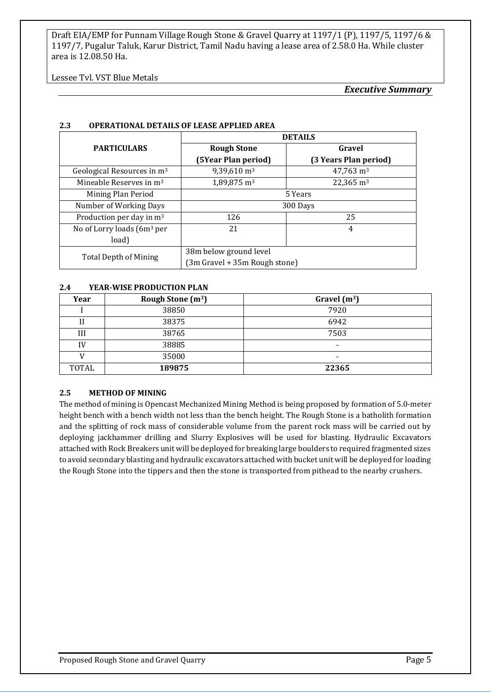Lessee Tvl. VST Blue Metals

*Executive Summary*

|                                        | <b>DETAILS</b>                |                       |  |
|----------------------------------------|-------------------------------|-----------------------|--|
| <b>PARTICULARS</b>                     | <b>Rough Stone</b>            | Gravel                |  |
|                                        | (5Year Plan period)           | (3 Years Plan period) |  |
| Geological Resources in m <sup>3</sup> | $9,39,610 \text{ m}^3$        | $47,763 \text{ m}^3$  |  |
| Mineable Reserves in m <sup>3</sup>    | $1,89,875 \text{ m}^3$        | $22,365 \text{ m}^3$  |  |
| Mining Plan Period                     | 5 Years                       |                       |  |
| Number of Working Days                 | 300 Days                      |                       |  |
| Production per day in m <sup>3</sup>   | 126                           | 25                    |  |
| No of Lorry loads $(6m3$ per           | 21                            | 4                     |  |
| load)                                  |                               |                       |  |
| <b>Total Depth of Mining</b>           | 38m below ground level        |                       |  |
|                                        | (3m Gravel + 35m Rough stone) |                       |  |

#### **2.3 OPERATIONAL DETAILS OF LEASE APPLIED AREA**

#### **2.4 YEAR-WISE PRODUCTION PLAN**

| Year  | Rough Stone $(m^3)$ | Gravel $(m^3)$ |
|-------|---------------------|----------------|
|       | 38850               | 7920           |
| Н     | 38375               | 6942           |
| Ш     | 38765               | 7503           |
| IV    | 38885               | $\,$           |
|       | 35000               | -              |
| TOTAL | 189875              | 22365          |

#### **2.5 METHOD OF MINING**

The method of mining is Opencast Mechanized Mining Method is being proposed by formation of 5.0-meter height bench with a bench width not less than the bench height. The Rough Stone is a batholith formation and the splitting of rock mass of considerable volume from the parent rock mass will be carried out by deploying jackhammer drilling and Slurry Explosives will be used for blasting. Hydraulic Excavators attached with Rock Breakers unit will be deployed for breaking large boulders to required fragmented sizes to avoid secondary blasting and hydraulic excavators attached with bucket unit will be deployed for loading the Rough Stone into the tippers and then the stone is transported from pithead to the nearby crushers.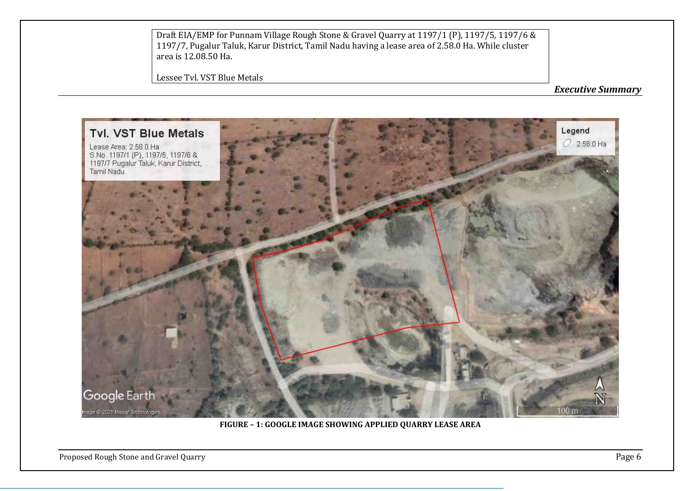Lessee Tvl. VST Blue Metals

*Executive Summary*



**FIGURE – 1: GOOGLE IMAGE SHOWING APPLIED QUARRY LEASE AREA**

Proposed Rough Stone and Gravel Quarry **Page 6**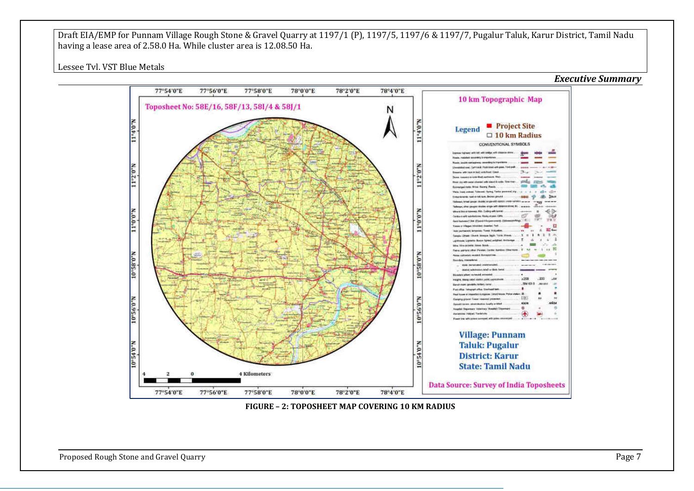Lessee Tvl. VST Blue Metals



**FIGURE – 2: TOPOSHEET MAP COVERING 10 KM RADIUS**

Proposed Rough Stone and Gravel Quarry **Page 7** and Series and Gravel Quarry **Page 7** and Series and Gravel Quarry **Page 7**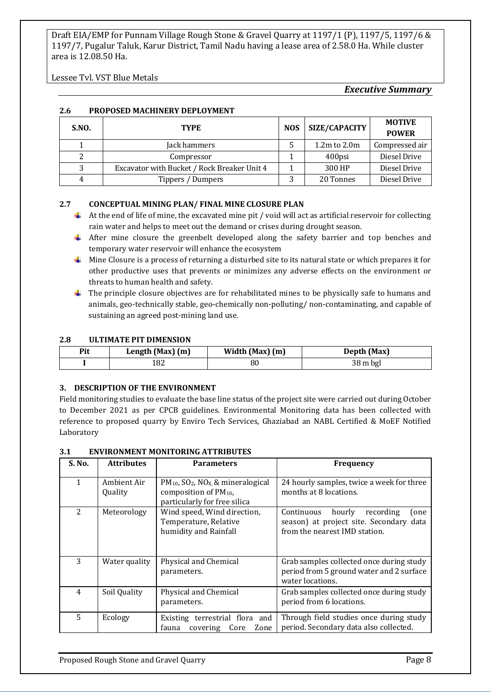Lessee Tvl. VST Blue Metals

#### *Executive Summary*

#### **2.6 PROPOSED MACHINERY DEPLOYMENT**

| <b>S.NO.</b> | <b>NOS</b><br><b>TYPE</b>                   |  | <b>SIZE/CAPACITY</b> | <b>MOTIVE</b><br><b>POWER</b> |
|--------------|---------------------------------------------|--|----------------------|-------------------------------|
|              | Jack hammers                                |  | $1.2m$ to $2.0m$     | Compressed air                |
|              | Compressor                                  |  | 400psi               | Diesel Drive                  |
| 3            | Excavator with Bucket / Rock Breaker Unit 4 |  | 300 HP               | Diesel Drive                  |
| 4            | Tippers / Dumpers                           |  | 20 Tonnes            | Diesel Drive                  |

#### **2.7 CONCEPTUAL MINING PLAN/ FINAL MINE CLOSURE PLAN**

- $\ddot{\phantom{a}}$  At the end of life of mine, the excavated mine pit / void will act as artificial reservoir for collecting rain water and helps to meet out the demand or crises during drought season.
- After mine closure the greenbelt developed along the safety barrier and top benches and temporary water reservoir will enhance the ecosystem
- Mine Closure is a process of returning a disturbed site to its natural state or which prepares it for other productive uses that prevents or minimizes any adverse effects on the environment or threats to human health and safety.
- $\ddot{\phantom{1}}$  The principle closure objectives are for rehabilitated mines to be physically safe to humans and animals, geo-technically stable, geo-chemically non-polluting/ non-contaminating, and capable of sustaining an agreed post-mining land use.

#### **2.8 ULTIMATE PIT DIMENSION**

| Pit | Length (Max) (m) | Width (Max) (m) | Depth (Max) |
|-----|------------------|-----------------|-------------|
|     | L82              | 80              | 38 m bgl    |

#### **3. DESCRIPTION OF THE ENVIRONMENT**

Field monitoring studies to evaluate the base line status of the project site were carried out during October to December 2021 as per CPCB guidelines. Environmental Monitoring data has been collected with reference to proposed quarry by Enviro Tech Services, Ghaziabad an NABL Certified & MoEF Notified Laboratory

#### **3.1 ENVIRONMENT MONITORING ATTRIBUTES**

| S. No.        | <b>Attributes</b>      | <b>Parameters</b>                                                                                                             | Frequency                                                                                                             |
|---------------|------------------------|-------------------------------------------------------------------------------------------------------------------------------|-----------------------------------------------------------------------------------------------------------------------|
|               | Ambient Air<br>Quality | $PM_{10}$ , SO <sub>2</sub> , NO <sub>X</sub> , & mineralogical<br>composition of $PM_{10}$ ,<br>particularly for free silica | 24 hourly samples, twice a week for three<br>months at 8 locations.                                                   |
| $\mathcal{L}$ | Meteorology            | Wind speed, Wind direction,<br>Temperature, Relative<br>humidity and Rainfall                                                 | hourly<br>Continuous<br>recording<br>one)<br>season) at project site. Secondary data<br>from the nearest IMD station. |
| 3             | Water quality          | Physical and Chemical<br>parameters.                                                                                          | Grab samples collected once during study<br>period from 5 ground water and 2 surface<br>water locations.              |
| 4             | Soil Quality           | Physical and Chemical<br>parameters.                                                                                          | Grab samples collected once during study<br>period from 6 locations.                                                  |
| 5             | Ecology                | Existing terrestrial flora and<br>fauna<br>covering<br>Core<br>Zone                                                           | Through field studies once during study<br>period. Secondary data also collected.                                     |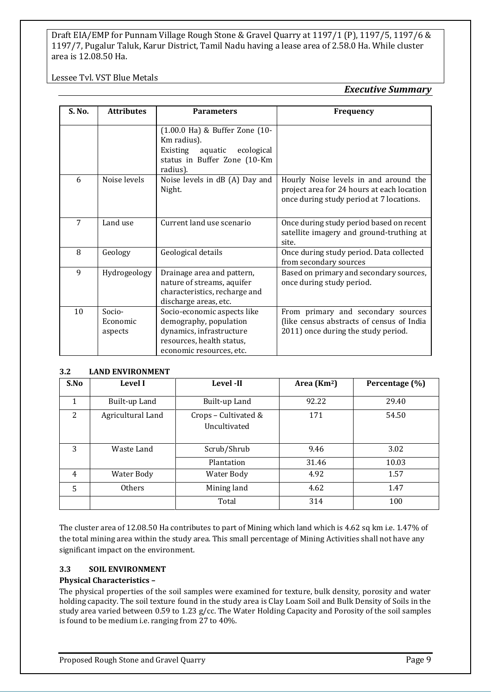Lessee Tvl. VST Blue Metals

#### *Executive Summary*

| S. No. | <b>Attributes</b>             | <b>Parameters</b>                                                                                                                          | <b>Frequency</b>                                                                                                                |
|--------|-------------------------------|--------------------------------------------------------------------------------------------------------------------------------------------|---------------------------------------------------------------------------------------------------------------------------------|
|        |                               | (1.00.0 Ha) & Buffer Zone (10-<br>Km radius).<br>Existing<br>aquatic<br>ecological<br>status in Buffer Zone (10-Km<br>radius).             |                                                                                                                                 |
| 6      | Noise levels                  | Noise levels in dB (A) Day and<br>Night.                                                                                                   | Hourly Noise levels in and around the<br>project area for 24 hours at each location<br>once during study period at 7 locations. |
| 7      | Land use                      | Current land use scenario                                                                                                                  | Once during study period based on recent<br>satellite imagery and ground-truthing at<br>site.                                   |
| 8      | Geology                       | Geological details                                                                                                                         | Once during study period. Data collected<br>from secondary sources                                                              |
| 9      | Hydrogeology                  | Drainage area and pattern,<br>nature of streams, aquifer<br>characteristics, recharge and<br>discharge areas, etc.                         | Based on primary and secondary sources,<br>once during study period.                                                            |
| 10     | Socio-<br>Economic<br>aspects | Socio-economic aspects like<br>demography, population<br>dynamics, infrastructure<br>resources, health status,<br>economic resources, etc. | From primary and secondary sources<br>(like census abstracts of census of India<br>2011) once during the study period.          |

#### **3.2 LAND ENVIRONMENT**

| S.No           | <b>Level I</b>    | Level -II                            | Area $(Km2)$ | Percentage (%) |
|----------------|-------------------|--------------------------------------|--------------|----------------|
| 1              | Built-up Land     | Built-up Land                        | 92.22        | 29.40          |
| 2              | Agricultural Land | Crops - Cultivated &<br>Uncultivated | 171          | 54.50          |
| 3              | Waste Land        | Scrub/Shrub                          | 9.46         | 3.02           |
|                |                   | Plantation                           | 31.46        | 10.03          |
| $\overline{4}$ | Water Body        | Water Body                           | 4.92         | 1.57           |
| 5              | <b>Others</b>     | Mining land                          | 4.62         | 1.47           |
|                |                   | Total                                | 314          | 100            |

The cluster area of 12.08.50 Ha contributes to part of Mining which land which is 4.62 sq km i.e. 1.47% of the total mining area within the study area. This small percentage of Mining Activities shall not have any significant impact on the environment.

#### **3.3 SOIL ENVIRONMENT**

#### **Physical Characteristics –**

The physical properties of the soil samples were examined for texture, bulk density, porosity and water holding capacity. The soil texture found in the study area is Clay Loam Soil and Bulk Density of Soils in the study area varied between 0.59 to 1.23 g/cc. The Water Holding Capacity and Porosity of the soil samples is found to be medium i.e. ranging from 27 to 40%.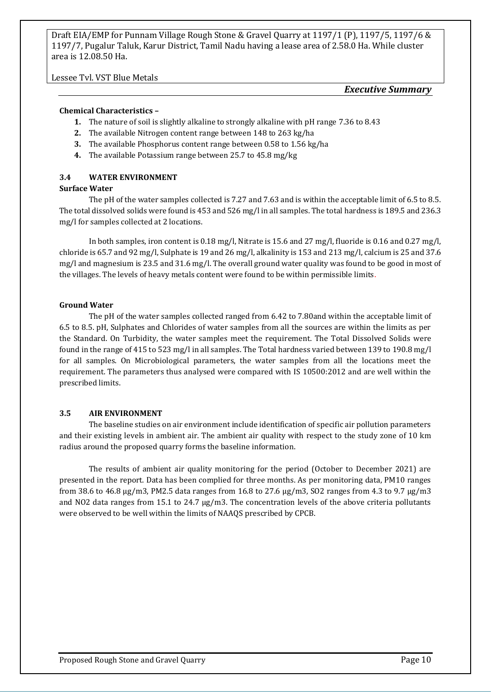Lessee Tvl. VST Blue Metals

#### *Executive Summary*

#### **Chemical Characteristics –**

- **1.** The nature of soil is slightly alkaline to strongly alkaline with pH range 7.36 to 8.43
- **2.** The available Nitrogen content range between 148 to 263 kg/ha
- **3.** The available Phosphorus content range between 0.58 to 1.56 kg/ha
- **4.** The available Potassium range between 25.7 to 45.8 mg/kg

#### **3.4 WATER ENVIRONMENT**

#### **Surface Water**

The pH of the water samples collected is 7.27 and 7.63 and is within the acceptable limit of 6.5 to 8.5. The total dissolved solids were found is 453 and 526 mg/l in all samples. The total hardness is 189.5 and 236.3 mg/l for samples collected at 2 locations.

In both samples, iron content is 0.18 mg/l, Nitrate is 15.6 and 27 mg/l, fluoride is 0.16 and 0.27 mg/l, chloride is 65.7 and 92 mg/l, Sulphate is 19 and 26 mg/l, alkalinity is 153 and 213 mg/l, calcium is 25 and 37.6 mg/l and magnesium is 23.5 and 31.6 mg/l. The overall ground water quality was found to be good in most of the villages. The levels of heavy metals content were found to be within permissible limits.

#### **Ground Water**

The pH of the water samples collected ranged from 6.42 to 7.80and within the acceptable limit of 6.5 to 8.5. pH, Sulphates and Chlorides of water samples from all the sources are within the limits as per the Standard. On Turbidity, the water samples meet the requirement. The Total Dissolved Solids were found in the range of 415 to 523 mg/l in all samples. The Total hardness varied between 139 to 190.8 mg/l for all samples. On Microbiological parameters, the water samples from all the locations meet the requirement. The parameters thus analysed were compared with IS 10500:2012 and are well within the prescribed limits.

#### **3.5 AIR ENVIRONMENT**

The baseline studies on air environment include identification of specific air pollution parameters and their existing levels in ambient air. The ambient air quality with respect to the study zone of 10 km radius around the proposed quarry forms the baseline information.

The results of ambient air quality monitoring for the period (October to December 2021) are presented in the report. Data has been complied for three months. As per monitoring data, PM10 ranges from 38.6 to 46.8 μg/m3, PM2.5 data ranges from 16.8 to 27.6 μg/m3, SO2 ranges from 4.3 to 9.7 μg/m3 and NO2 data ranges from 15.1 to 24.7 μg/m3. The concentration levels of the above criteria pollutants were observed to be well within the limits of NAAQS prescribed by CPCB.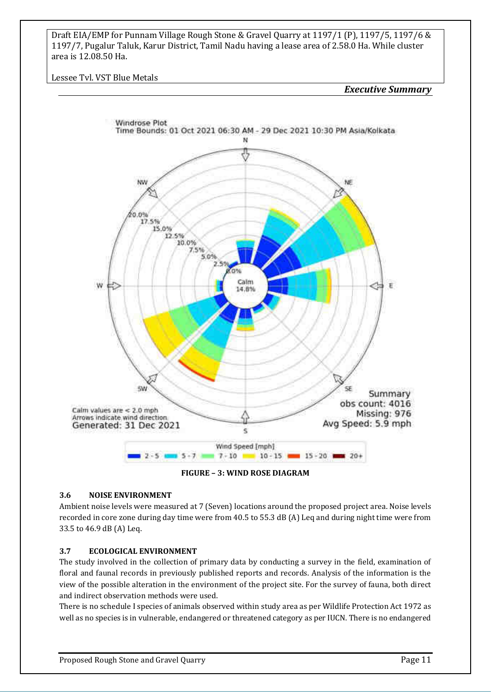Lessee Tvl. VST Blue Metals

*Executive Summary*



**FIGURE – 3: WIND ROSE DIAGRAM**

#### **3.6 NOISE ENVIRONMENT**

Ambient noise levels were measured at 7 (Seven) locations around the proposed project area. Noise levels recorded in core zone during day time were from 40.5 to 55.3 dB (A) Leq and during night time were from 33.5 to 46.9 dB (A) Leq.

#### **3.7 ECOLOGICAL ENVIRONMENT**

The study involved in the collection of primary data by conducting a survey in the field, examination of floral and faunal records in previously published reports and records. Analysis of the information is the view of the possible alteration in the environment of the project site. For the survey of fauna, both direct and indirect observation methods were used.

There is no schedule I species of animals observed within study area as per Wildlife Protection Act 1972 as well as no species is in vulnerable, endangered or threatened category as per IUCN. There is no endangered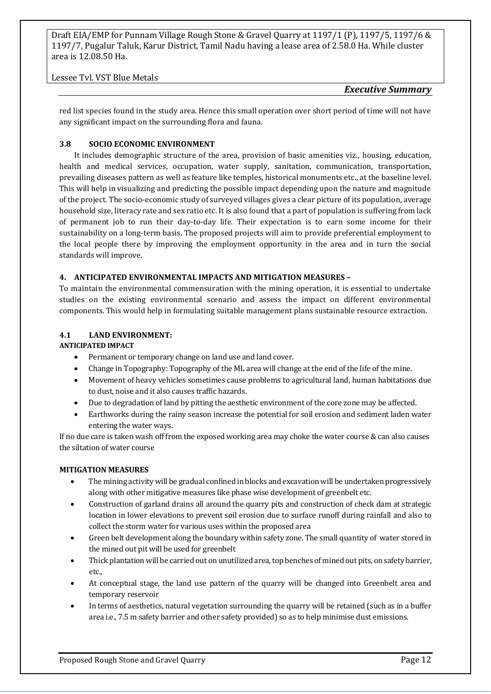Lessee Tvl. VST Blue Metals

*Executive Summary*

red list species found in the study area. Hence this small operation over short period of time will not have any significant impact on the surrounding flora and fauna.

#### **3.8 SOCIO ECONOMIC ENVIRONMENT**

It includes demographic structure of the area, provision of basic amenities viz., housing, education, health and medical services, occupation, water supply, sanitation, communication, transportation, prevailing diseases pattern as well as feature like temples, historical monuments etc., at the baseline level. This will help in visualizing and predicting the possible impact depending upon the nature and magnitude of the project. The socio-economic study of surveyed villages gives a clear picture of its population, average household size, literacy rate and sex ratio etc. It is also found that a part of population is suffering from lack of permanent job to run their day-to-day life. Their expectation is to earn some income for their sustainability on a long-term basis. The proposed projects will aim to provide preferential employment to the local people there by improving the employment opportunity in the area and in turn the social standards will improve.

#### **4. ANTICIPATED ENVIRONMENTAL IMPACTS AND MITIGATION MEASURES –**

To maintain the environmental commensuration with the mining operation, it is essential to undertake studies on the existing environmental scenario and assess the impact on different environmental components. This would help in formulating suitable management plans sustainable resource extraction.

#### **4.1 LAND ENVIRONMENT:**

#### **ANTICIPATED IMPACT**

- Permanent or temporary change on land use and land cover.
- Change in Topography: Topography of the ML area will change at the end of the life of the mine.
- Movement of heavy vehicles sometimes cause problems to agricultural land, human habitations due to dust, noise and it also causes traffic hazards.
- Due to degradation of land by pitting the aesthetic environment of the core zone may be affected.
- Earthworks during the rainy season increase the potential for soil erosion and sediment laden water entering the water ways.

If no due care is taken wash off from the exposed working area may choke the water course & can also causes the siltation of water course

#### **MITIGATION MEASURES**

- The mining activity will be gradual confined in blocks and excavation will be undertaken progressively along with other mitigative measures like phase wise development of greenbelt etc.
- Construction of garland drains all around the quarry pits and construction of check dam at strategic location in lower elevations to prevent soil erosion due to surface runoff during rainfall and also to collect the storm water for various uses within the proposed area
- Green belt development along the boundary within safety zone. The small quantity of water stored in the mined out pit will be used for greenbelt
- Thick plantation will be carried out on unutilized area, top benches of mined out pits, on safety barrier, etc.,
- At conceptual stage, the land use pattern of the quarry will be changed into Greenbelt area and temporary reservoir
- In terms of aesthetics, natural vegetation surrounding the quarry will be retained (such as in a buffer area i.e., 7.5 m safety barrier and other safety provided) so as to help minimise dust emissions.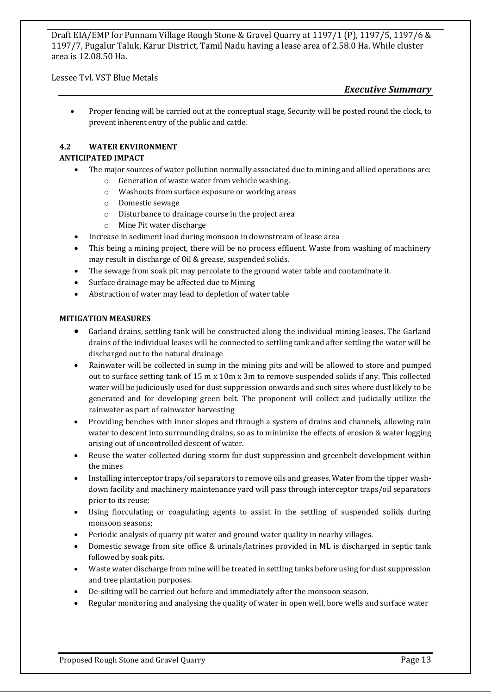#### Lessee Tvl. VST Blue Metals

#### *Executive Summary*

• Proper fencing will be carried out at the conceptual stage, Security will be posted round the clock, to prevent inherent entry of the public and cattle.

#### **4.2 WATER ENVIRONMENT**

#### **ANTICIPATED IMPACT**

- The major sources of water pollution normally associated due to mining and allied operations are:
	- o Generation of waste water from vehicle washing.
		- o Washouts from surface exposure or working areas
		- o Domestic sewage
		- o Disturbance to drainage course in the project area
		- o Mine Pit water discharge
- Increase in sediment load during monsoon in downstream of lease area
- This being a mining project, there will be no process effluent. Waste from washing of machinery may result in discharge of Oil & grease, suspended solids.
- The sewage from soak pit may percolate to the ground water table and contaminate it.
- Surface drainage may be affected due to Mining
- Abstraction of water may lead to depletion of water table

#### **MITIGATION MEASURES**

- Garland drains, settling tank will be constructed along the individual mining leases. The Garland drains of the individual leases will be connected to settling tank and after settling the water will be discharged out to the natural drainage
- Rainwater will be collected in sump in the mining pits and will be allowed to store and pumped out to surface setting tank of 15 m x 10m x 3m to remove suspended solids if any. This collected water will be judiciously used for dust suppression onwards and such sites where dust likely to be generated and for developing green belt. The proponent will collect and judicially utilize the rainwater as part of rainwater harvesting
- Providing benches with inner slopes and through a system of drains and channels, allowing rain water to descent into surrounding drains, so as to minimize the effects of erosion & water logging arising out of uncontrolled descent of water.
- Reuse the water collected during storm for dust suppression and greenbelt development within the mines
- Installing interceptor traps/oil separators to remove oils and greases. Water from the tipper washdown facility and machinery maintenance yard will pass through interceptor traps/oil separators prior to its reuse;
- Using flocculating or coagulating agents to assist in the settling of suspended solids during monsoon seasons;
- Periodic analysis of quarry pit water and ground water quality in nearby villages.
- Domestic sewage from site office & urinals/latrines provided in ML is discharged in septic tank followed by soak pits.
- Waste water discharge from mine will be treated in settling tanks before using for dust suppression and tree plantation purposes.
- De-silting will be carried out before and immediately after the monsoon season.
- Regular monitoring and analysing the quality of water in open well, bore wells and surface water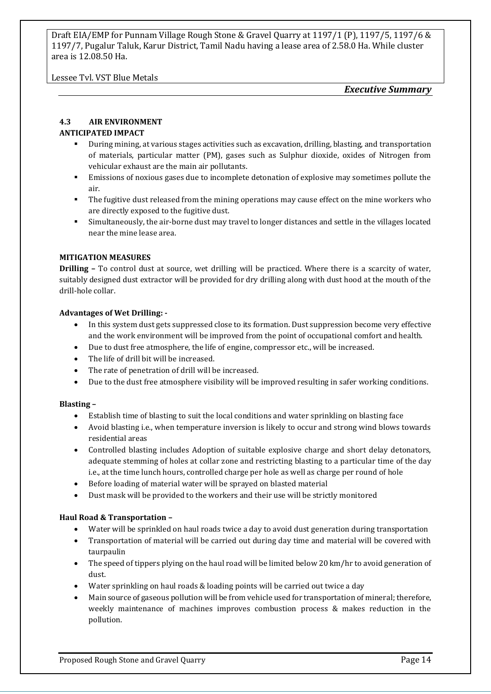Lessee Tvl. VST Blue Metals

*Executive Summary*

#### **4.3 AIR ENVIRONMENT**

#### **ANTICIPATED IMPACT**

- During mining, at various stages activities such as excavation, drilling, blasting, and transportation of materials, particular matter (PM), gases such as Sulphur dioxide, oxides of Nitrogen from vehicular exhaust are the main air pollutants.
- **Emissions of noxious gases due to incomplete detonation of explosive may sometimes pollute the** air.
- **•** The fugitive dust released from the mining operations may cause effect on the mine workers who are directly exposed to the fugitive dust.
- Simultaneously, the air-borne dust may travel to longer distances and settle in the villages located near the mine lease area.

#### **MITIGATION MEASURES**

**Drilling –** To control dust at source, wet drilling will be practiced. Where there is a scarcity of water, suitably designed dust extractor will be provided for dry drilling along with dust hood at the mouth of the drill-hole collar.

#### **Advantages of Wet Drilling: -**

- In this system dust gets suppressed close to its formation. Dust suppression become very effective and the work environment will be improved from the point of occupational comfort and health.
- Due to dust free atmosphere, the life of engine, compressor etc., will be increased.
- The life of drill bit will be increased.
- The rate of penetration of drill will be increased.
- Due to the dust free atmosphere visibility will be improved resulting in safer working conditions.

#### **Blasting –**

- Establish time of blasting to suit the local conditions and water sprinkling on blasting face
- Avoid blasting i.e., when temperature inversion is likely to occur and strong wind blows towards residential areas
- Controlled blasting includes Adoption of suitable explosive charge and short delay detonators, adequate stemming of holes at collar zone and restricting blasting to a particular time of the day i.e., at the time lunch hours, controlled charge per hole as well as charge per round of hole
- Before loading of material water will be sprayed on blasted material
- Dust mask will be provided to the workers and their use will be strictly monitored

#### **Haul Road & Transportation –**

- Water will be sprinkled on haul roads twice a day to avoid dust generation during transportation
- Transportation of material will be carried out during day time and material will be covered with taurpaulin
- The speed of tippers plying on the haul road will be limited below 20 km/hr to avoid generation of dust.
- Water sprinkling on haul roads & loading points will be carried out twice a day
- Main source of gaseous pollution will be from vehicle used for transportation of mineral; therefore, weekly maintenance of machines improves combustion process & makes reduction in the pollution.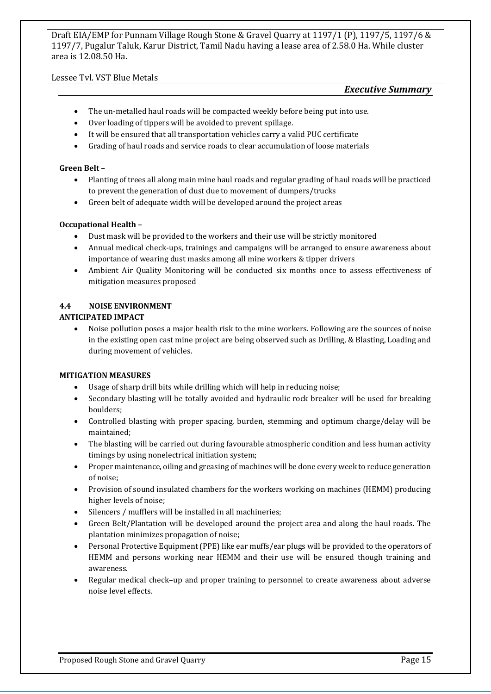#### Lessee Tvl. VST Blue Metals

#### *Executive Summary*

- The un-metalled haul roads will be compacted weekly before being put into use.
- Over loading of tippers will be avoided to prevent spillage.
- It will be ensured that all transportation vehicles carry a valid PUC certificate
- Grading of haul roads and service roads to clear accumulation of loose materials

#### **Green Belt –**

- Planting of trees all along main mine haul roads and regular grading of haul roads will be practiced to prevent the generation of dust due to movement of dumpers/trucks
- Green belt of adequate width will be developed around the project areas

#### **Occupational Health –**

- Dust mask will be provided to the workers and their use will be strictly monitored
- Annual medical check-ups, trainings and campaigns will be arranged to ensure awareness about importance of wearing dust masks among all mine workers & tipper drivers
- Ambient Air Quality Monitoring will be conducted six months once to assess effectiveness of mitigation measures proposed

#### **4.4 NOISE ENVIRONMENT**

#### **ANTICIPATED IMPACT**

• Noise pollution poses a major health risk to the mine workers. Following are the sources of noise in the existing open cast mine project are being observed such as Drilling, & Blasting, Loading and during movement of vehicles.

#### **MITIGATION MEASURES**

- Usage of sharp drill bits while drilling which will help in reducing noise;
- Secondary blasting will be totally avoided and hydraulic rock breaker will be used for breaking boulders;
- Controlled blasting with proper spacing, burden, stemming and optimum charge/delay will be maintained;
- The blasting will be carried out during favourable atmospheric condition and less human activity timings by using nonelectrical initiation system;
- Proper maintenance, oiling and greasing of machines will be done every week to reduce generation of noise;
- Provision of sound insulated chambers for the workers working on machines (HEMM) producing higher levels of noise;
- Silencers / mufflers will be installed in all machineries;
- Green Belt/Plantation will be developed around the project area and along the haul roads. The plantation minimizes propagation of noise;
- Personal Protective Equipment (PPE) like ear muffs/ear plugs will be provided to the operators of HEMM and persons working near HEMM and their use will be ensured though training and awareness.
- Regular medical check–up and proper training to personnel to create awareness about adverse noise level effects.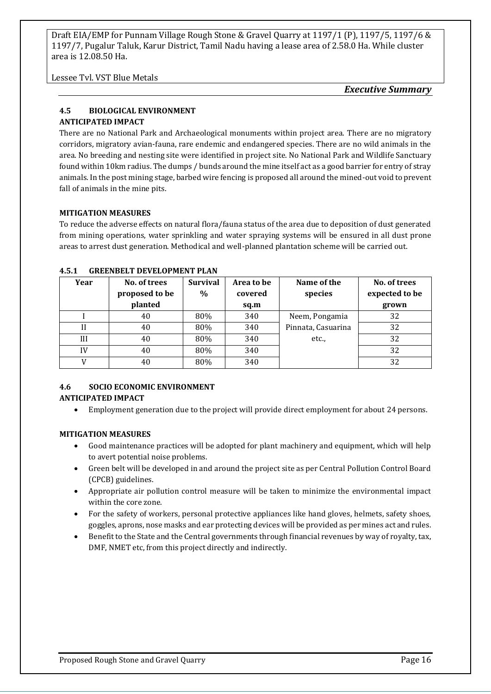Lessee Tvl. VST Blue Metals

*Executive Summary*

#### **4.5 BIOLOGICAL ENVIRONMENT ANTICIPATED IMPACT**

There are no National Park and Archaeological monuments within project area. There are no migratory corridors, migratory avian-fauna, rare endemic and endangered species. There are no wild animals in the area. No breeding and nesting site were identified in project site. No National Park and Wildlife Sanctuary found within 10km radius. The dumps / bunds around the mine itself act as a good barrier for entry of stray animals. In the post mining stage, barbed wire fencing is proposed all around the mined-out void to prevent fall of animals in the mine pits.

#### **MITIGATION MEASURES**

To reduce the adverse effects on natural flora/fauna status of the area due to deposition of dust generated from mining operations, water sprinkling and water spraying systems will be ensured in all dust prone areas to arrest dust generation. Methodical and well-planned plantation scheme will be carried out.

| Year | No. of trees<br>proposed to be | <b>Survival</b><br>$\%$ | Area to be<br>covered | Name of the<br>species | No. of trees<br>expected to be |
|------|--------------------------------|-------------------------|-----------------------|------------------------|--------------------------------|
|      | planted                        |                         | sq.m                  |                        | grown                          |
|      | 40                             | 80%                     | 340                   | Neem, Pongamia         | 32                             |
| H    | 40                             | 80%                     | 340                   | Pinnata, Casuarina     | 32                             |
| Ш    | 40                             | 80%                     | 340                   | etc.,                  | 32                             |
| IV   | 40                             | 80%                     | 340                   |                        | 32                             |
|      | 40                             | 80%                     | 340                   |                        | 32                             |

#### **4.5.1 GREENBELT DEVELOPMENT PLAN**

#### **4.6 SOCIO ECONOMIC ENVIRONMENT ANTICIPATED IMPACT**

• Employment generation due to the project will provide direct employment for about 24 persons.

#### **MITIGATION MEASURES**

- Good maintenance practices will be adopted for plant machinery and equipment, which will help to avert potential noise problems.
- Green belt will be developed in and around the project site as per Central Pollution Control Board (CPCB) guidelines.
- Appropriate air pollution control measure will be taken to minimize the environmental impact within the core zone.
- For the safety of workers, personal protective appliances like hand gloves, helmets, safety shoes, goggles, aprons, nose masks and ear protecting devices will be provided as per mines act and rules.
- Benefit to the State and the Central governments through financial revenues by way of royalty, tax, DMF, NMET etc, from this project directly and indirectly.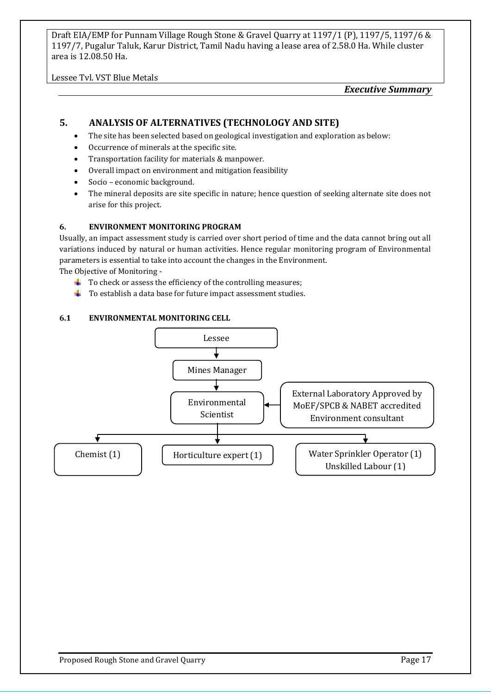Lessee Tvl. VST Blue Metals

*Executive Summary*

#### **5. ANALYSIS OF ALTERNATIVES (TECHNOLOGY AND SITE)**

- The site has been selected based on geological investigation and exploration as below:
- Occurrence of minerals at the specific site.
- Transportation facility for materials & manpower.
- Overall impact on environment and mitigation feasibility
- Socio economic background.
- The mineral deposits are site specific in nature; hence question of seeking alternate site does not arise for this project.

#### **6. ENVIRONMENT MONITORING PROGRAM**

Usually, an impact assessment study is carried over short period of time and the data cannot bring out all variations induced by natural or human activities. Hence regular monitoring program of Environmental parameters is essential to take into account the changes in the Environment.

The Objective of Monitoring -

- $\ddot{\phantom{1}}$  To check or assess the efficiency of the controlling measures;
- $\downarrow$  To establish a data base for future impact assessment studies.

#### **6.1 ENVIRONMENTAL MONITORING CELL**

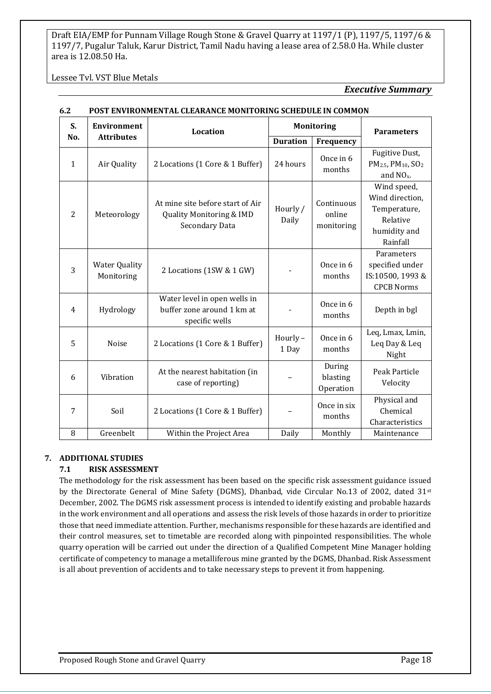#### Lessee Tvl. VST Blue Metals

#### *Executive Summary*

| S.             | <b>Environment</b>                 | Location                                                                              |                   | <b>Monitoring</b>                  | <b>Parameters</b>                                                                       |
|----------------|------------------------------------|---------------------------------------------------------------------------------------|-------------------|------------------------------------|-----------------------------------------------------------------------------------------|
| No.            | <b>Attributes</b>                  |                                                                                       | <b>Duration</b>   | Frequency                          |                                                                                         |
| $\mathbf{1}$   | Air Quality                        | 2 Locations (1 Core & 1 Buffer)                                                       | 24 hours          | Once in 6<br>months                | Fugitive Dust,<br>PM <sub>2.5</sub> , PM <sub>10</sub> , SO <sub>2</sub><br>and $NOx$ . |
| 2              | Meteorology                        | At mine site before start of Air<br>Quality Monitoring & IMD<br><b>Secondary Data</b> | Hourly /<br>Daily | Continuous<br>online<br>monitoring | Wind speed,<br>Wind direction,<br>Temperature,<br>Relative<br>humidity and<br>Rainfall  |
| 3              | <b>Water Quality</b><br>Monitoring | 2 Locations (1SW & 1 GW)                                                              |                   | Once in 6<br>months                | Parameters<br>specified under<br>IS:10500, 1993 &<br><b>CPCB Norms</b>                  |
| $\overline{4}$ | Hydrology                          | Water level in open wells in<br>buffer zone around 1 km at<br>specific wells          |                   | Once in 6<br>months                | Depth in bgl                                                                            |
| 5              | Noise                              | 2 Locations (1 Core & 1 Buffer)                                                       | Hourly-<br>1 Day  | Once in 6<br>months                | Leq, Lmax, Lmin,<br>Leq Day & Leq<br>Night                                              |
| 6              | Vibration                          | At the nearest habitation (in<br>case of reporting)                                   |                   | During<br>blasting<br>Operation    | Peak Particle<br>Velocity                                                               |
| 7              | Soil                               | 2 Locations (1 Core & 1 Buffer)                                                       |                   | Once in six<br>months              | Physical and<br>Chemical<br>Characteristics                                             |
| 8              | Greenbelt                          | Within the Project Area                                                               | Daily             | Monthly                            | Maintenance                                                                             |

#### **6.2 POST ENVIRONMENTAL CLEARANCE MONITORING SCHEDULE IN COMMON**

#### **7. ADDITIONAL STUDIES**

#### **7.1 RISK ASSESSMENT**

The methodology for the risk assessment has been based on the specific risk assessment guidance issued by the Directorate General of Mine Safety (DGMS), Dhanbad, vide Circular No.13 of 2002, dated 31<sup>st</sup> December, 2002. The DGMS risk assessment process is intended to identify existing and probable hazards in the work environment and all operations and assess the risk levels of those hazards in order to prioritize those that need immediate attention. Further, mechanisms responsible for these hazards are identified and their control measures, set to timetable are recorded along with pinpointed responsibilities. The whole quarry operation will be carried out under the direction of a Qualified Competent Mine Manager holding certificate of competency to manage a metalliferous mine granted by the DGMS, Dhanbad. Risk Assessment is all about prevention of accidents and to take necessary steps to prevent it from happening.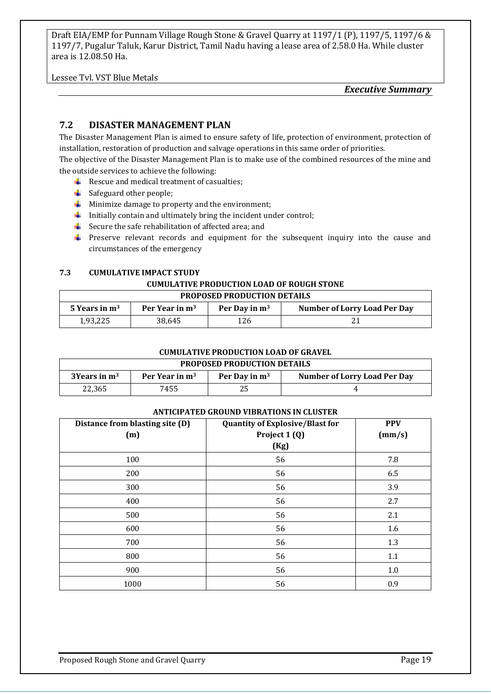Lessee Tvl. VST Blue Metals

*Executive Summary*

#### **7.2 DISASTER MANAGEMENT PLAN**

The Disaster Management Plan is aimed to ensure safety of life, protection of environment, protection of installation, restoration of production and salvage operations in this same order of priorities.

The objective of the Disaster Management Plan is to make use of the combined resources of the mine and the outside services to achieve the following:

- $\downarrow$  Rescue and medical treatment of casualties;
- $\overline{\phantom{a}}$  Safeguard other people;
- $\downarrow$  Minimize damage to property and the environment;
- $\downarrow$  Initially contain and ultimately bring the incident under control;
- $\triangle$  Secure the safe rehabilitation of affected area; and
- **F** Preserve relevant records and equipment for the subsequent inquiry into the cause and circumstances of the emergency

#### **7.3 CUMULATIVE IMPACT STUDY**

#### **CUMULATIVE PRODUCTION LOAD OF ROUGH STONE**

| <b>PROPOSED PRODUCTION DETAILS</b>                                                                      |        |     |  |  |  |  |
|---------------------------------------------------------------------------------------------------------|--------|-----|--|--|--|--|
| <b>Number of Lorry Load Per Day</b><br>Per Year in m <sup>3</sup><br>5 Years in $m3$<br>Per Day in $m3$ |        |     |  |  |  |  |
| 1,93,225                                                                                                | 38.645 | 126 |  |  |  |  |

#### **CUMULATIVE PRODUCTION LOAD OF GRAVEL**

#### **PROPOSED PRODUCTION DETAILS**

| , .w. vydy , .wy vviiv. <i>Petine</i> v         |      |                 |                                     |  |  |  |  |
|-------------------------------------------------|------|-----------------|-------------------------------------|--|--|--|--|
| Per Year in m <sup>3</sup><br>$3$ Years in $m3$ |      | Per Day in $m3$ | <b>Number of Lorry Load Per Day</b> |  |  |  |  |
| 22.365                                          | 7455 |                 |                                     |  |  |  |  |

#### **ANTICIPATED GROUND VIBRATIONS IN CLUSTER**

| Distance from blasting site (D)<br>(m) | <b>Quantity of Explosive/Blast for</b><br>Project 1 (Q)<br>(Kg) | <b>PPV</b><br>(mm/s) |
|----------------------------------------|-----------------------------------------------------------------|----------------------|
| 100                                    | 56                                                              | 7.8                  |
| 200                                    | 56                                                              | 6.5                  |
| 300                                    | 56                                                              | 3.9                  |
| 400                                    | 56                                                              | 2.7                  |
| 500                                    | 56                                                              | 2.1                  |
| 600                                    | 56                                                              | 1.6                  |
| 700                                    | 56                                                              | 1.3                  |
| 800                                    | 56                                                              | 1.1                  |
| 900                                    | 56                                                              | 1.0                  |
| 1000                                   | 56                                                              | 0.9                  |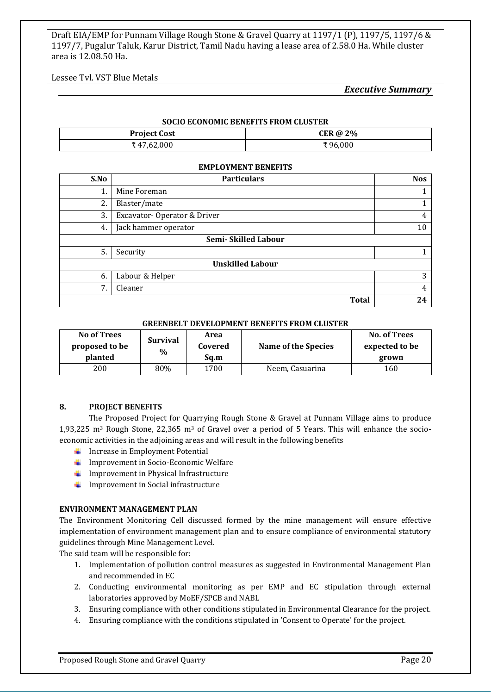Lessee Tvl. VST Blue Metals

#### *Executive Summary*

| <b>SOCIO ECONOMIC BENEFITS FROM CLUSTER</b> |         |  |  |
|---------------------------------------------|---------|--|--|
| CER @ $2\%$<br><b>Project Cost</b>          |         |  |  |
| ₹ 47,62,000                                 | ₹96.000 |  |  |

#### **EMPLOYMENT BENEFITS**

| S.No | <b>Particulars</b>          | <b>Nos</b> |  |  |  |
|------|-----------------------------|------------|--|--|--|
| 1.   | Mine Foreman                |            |  |  |  |
| 2.   | Blaster/mate                |            |  |  |  |
| 3.   | Excavator-Operator & Driver | 4          |  |  |  |
| 4.   | Jack hammer operator        | 10         |  |  |  |
|      | Semi-Skilled Labour         |            |  |  |  |
| 5.   | Security                    |            |  |  |  |
|      | <b>Unskilled Labour</b>     |            |  |  |  |
| 6.   | Labour & Helper             | 3          |  |  |  |
| 7.   | Cleaner                     | 4          |  |  |  |
|      | <b>Total</b>                | 24         |  |  |  |

#### **GREENBELT DEVELOPMENT BENEFITS FROM CLUSTER**

| <b>No of Trees</b><br>proposed to be<br>planted | <b>Survival</b><br>$\%$ | Area<br>Covered<br>Sq.m | Name of the Species | No. of Trees<br>expected to be<br>grown |
|-------------------------------------------------|-------------------------|-------------------------|---------------------|-----------------------------------------|
| 200                                             | 80%                     | 1700                    | Neem, Casuarina     | 160                                     |

#### **8. PROJECT BENEFITS**

The Proposed Project for Quarrying Rough Stone & Gravel at Punnam Village aims to produce 1,93,225 m3 Rough Stone, 22,365 m3 of Gravel over a period of 5 Years. This will enhance the socioeconomic activities in the adjoining areas and will result in the following benefits

- $\blacksquare$  Increase in Employment Potential
- $\downarrow$  Improvement in Socio-Economic Welfare
- $\downarrow$  Improvement in Physical Infrastructure
- $\downarrow$  Improvement in Social infrastructure

#### **ENVIRONMENT MANAGEMENT PLAN**

The Environment Monitoring Cell discussed formed by the mine management will ensure effective implementation of environment management plan and to ensure compliance of environmental statutory guidelines through Mine Management Level.

The said team will be responsible for:

- 1. Implementation of pollution control measures as suggested in Environmental Management Plan and recommended in EC
- 2. Conducting environmental monitoring as per EMP and EC stipulation through external laboratories approved by MoEF/SPCB and NABL
- 3. Ensuring compliance with other conditions stipulated in Environmental Clearance for the project.
- 4. Ensuring compliance with the conditions stipulated in 'Consent to Operate' for the project.